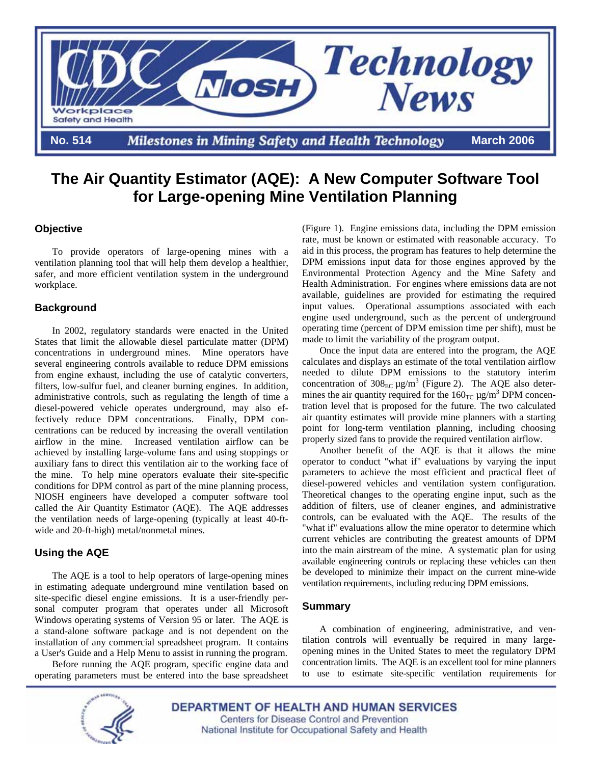

# **The Air Quantity Estimator (AQE): A New Computer Software Tool for Large-opening Mine Ventilation Planning**

### **Objective**

 To provide operators of large-opening mines with a ventilation planning tool that will help them develop a healthier, safer, and more efficient ventilation system in the underground workplace.

#### **Background**

 In 2002, regulatory standards were enacted in the United States that limit the allowable diesel particulate matter (DPM) concentrations in underground mines. Mine operators have several engineering controls available to reduce DPM emissions from engine exhaust, including the use of catalytic converters, filters, low-sulfur fuel, and cleaner burning engines. In addition, administrative controls, such as regulating the length of time a diesel-powered vehicle operates underground, may also effectively reduce DPM concentrations. Finally, DPM concentrations can be reduced by increasing the overall ventilation airflow in the mine. Increased ventilation airflow can be achieved by installing large-volume fans and using stoppings or auxiliary fans to direct this ventilation air to the working face of the mine. To help mine operators evaluate their site-specific conditions for DPM control as part of the mine planning process, NIOSH engineers have developed a computer software tool called the Air Quantity Estimator (AQE). The AQE addresses the ventilation needs of large-opening (typically at least 40-ftwide and 20-ft-high) metal/nonmetal mines.

### **Using the AQE**

 The AQE is a tool to help operators of large-opening mines in estimating adequate underground mine ventilation based on site-specific diesel engine emissions. It is a user-friendly personal computer program that operates under all Microsoft Windows operating systems of Version 95 or later. The AQE is a stand-alone software package and is not dependent on the installation of any commercial spreadsheet program. It contains a User's Guide and a Help Menu to assist in running the program.

 Before running the AQE program, specific engine data and operating parameters must be entered into the base spreadsheet (Figure 1). Engine emissions data, including the DPM emission rate, must be known or estimated with reasonable accuracy. To aid in this process, the program has features to help determine the DPM emissions input data for those engines approved by the Environmental Protection Agency and the Mine Safety and Health Administration. For engines where emissions data are not available, guidelines are provided for estimating the required input values. Operational assumptions associated with each engine used underground, such as the percent of underground operating time (percent of DPM emission time per shift), must be made to limit the variability of the program output.

 Once the input data are entered into the program, the AQE calculates and displays an estimate of the total ventilation airflow needed to dilute DPM emissions to the statutory interim concentration of  $308_{\text{EC}}$   $\mu$ g/m<sup>3</sup> (Figure 2). The AQE also determines the air quantity required for the  $160<sub>TC</sub> \mu g/m<sup>3</sup>$  DPM concentration level that is proposed for the future. The two calculated air quantity estimates will provide mine planners with a starting point for long-term ventilation planning, including choosing properly sized fans to provide the required ventilation airflow.

 Another benefit of the AQE is that it allows the mine operator to conduct "what if" evaluations by varying the input parameters to achieve the most efficient and practical fleet of diesel-powered vehicles and ventilation system configuration. Theoretical changes to the operating engine input, such as the addition of filters, use of cleaner engines, and administrative controls, can be evaluated with the AQE. The results of the "what if" evaluations allow the mine operator to determine which current vehicles are contributing the greatest amounts of DPM into the main airstream of the mine. A systematic plan for using available engineering controls or replacing these vehicles can then be developed to minimize their impact on the current mine-wide ventilation requirements, including reducing DPM emissions.

#### **Summary**

 A combination of engineering, administrative, and ventilation controls will eventually be required in many largeopening mines in the United States to meet the regulatory DPM concentration limits. The AQE is an excellent tool for mine planners to use to estimate site-specific ventilation requirements for



**DEPARTMENT OF HEALTH AND HUMAN SERVICES** Centers for Disease Control and Prevention National Institute for Occupational Safety and Health